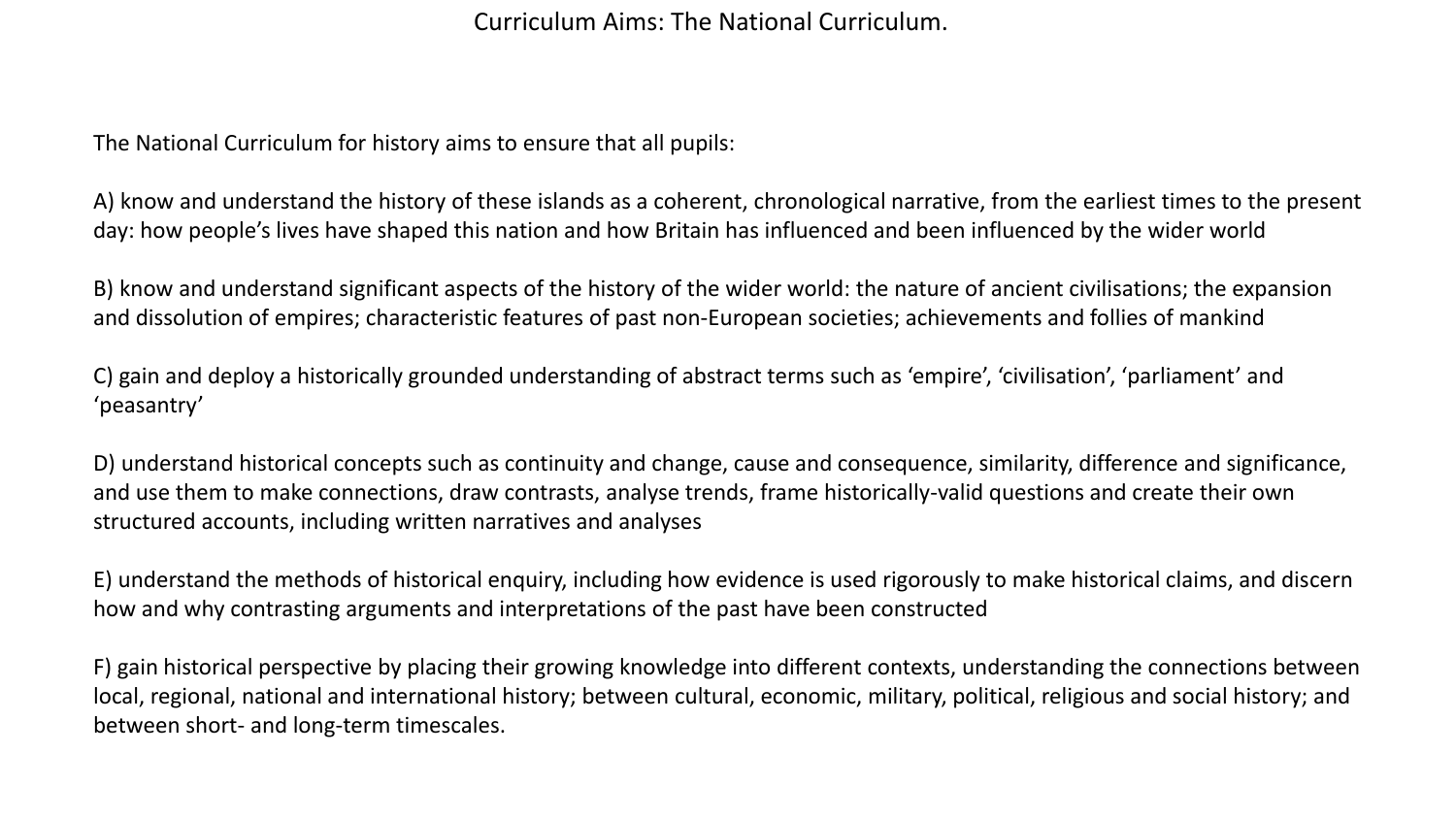Curriculum Aims: The National Curriculum.

The National Curriculum for history aims to ensure that all pupils:

A) know and understand the history of these islands as a coherent, chronological narrative, from the earliest times to the present day: how people's lives have shaped this nation and how Britain has influenced and been influenced by the wider world

B) know and understand significant aspects of the history of the wider world: the nature of ancient civilisations; the expansion and dissolution of empires; characteristic features of past non-European societies; achievements and follies of mankind

C) gain and deploy a historically grounded understanding of abstract terms such as 'empire', 'civilisation', 'parliament' and 'peasantry'

D) understand historical concepts such as continuity and change, cause and consequence, similarity, difference and significance, and use them to make connections, draw contrasts, analyse trends, frame historically-valid questions and create their own structured accounts, including written narratives and analyses

E) understand the methods of historical enquiry, including how evidence is used rigorously to make historical claims, and discern how and why contrasting arguments and interpretations of the past have been constructed

F) gain historical perspective by placing their growing knowledge into different contexts, understanding the connections between local, regional, national and international history; between cultural, economic, military, political, religious and social history; and between short- and long-term timescales.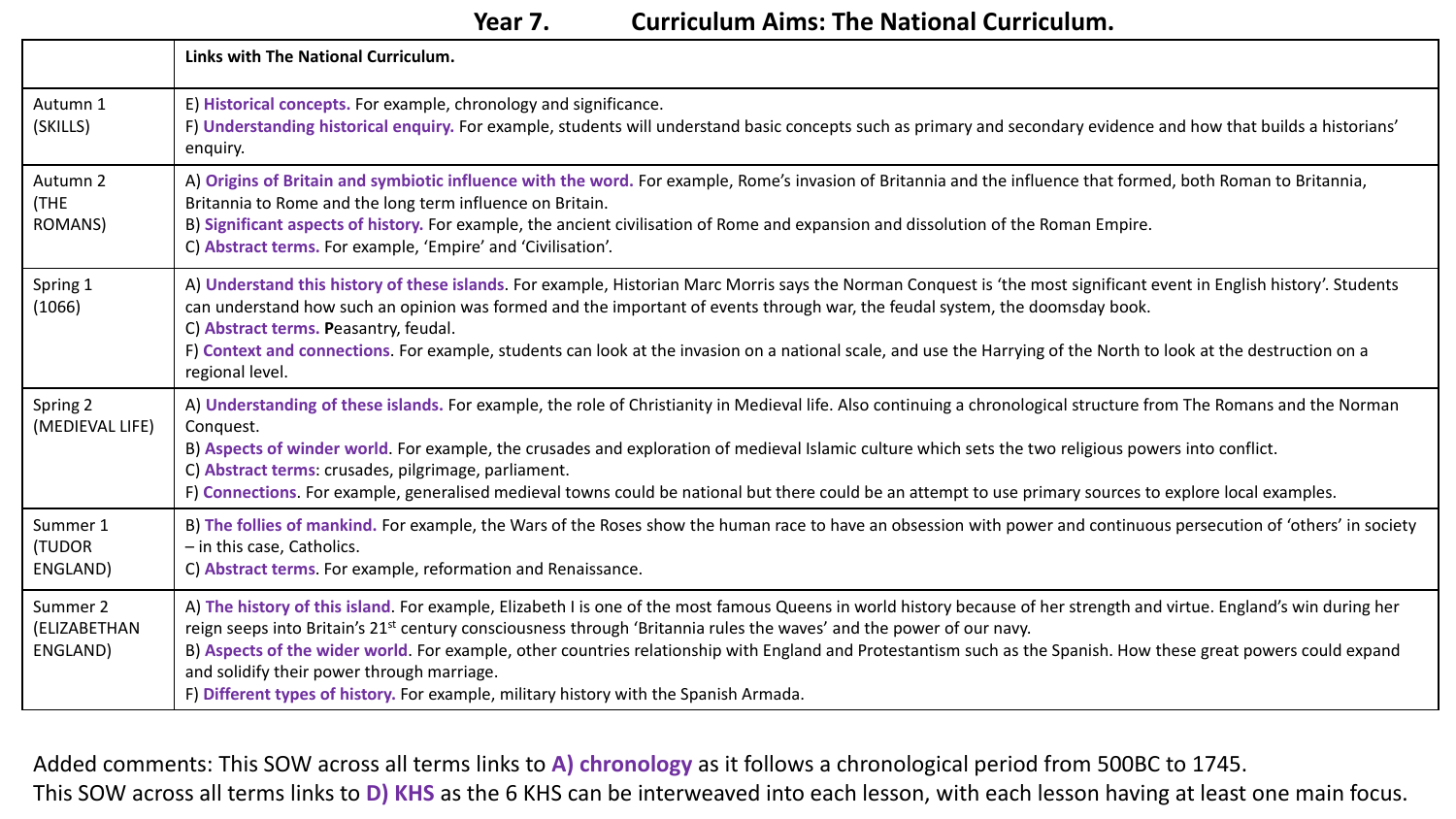**Year 7. Curriculum Aims: The National Curriculum.** 

|                                      | Links with The National Curriculum.                                                                                                                                                                                                                                                                                                                                                                                                                                                                                                                                                                                   |
|--------------------------------------|-----------------------------------------------------------------------------------------------------------------------------------------------------------------------------------------------------------------------------------------------------------------------------------------------------------------------------------------------------------------------------------------------------------------------------------------------------------------------------------------------------------------------------------------------------------------------------------------------------------------------|
| Autumn 1<br>(SKILLS)                 | E) Historical concepts. For example, chronology and significance.<br>F) Understanding historical enquiry. For example, students will understand basic concepts such as primary and secondary evidence and how that builds a historians'<br>enquiry.                                                                                                                                                                                                                                                                                                                                                                   |
| Autumn 2<br>(THE<br><b>ROMANS)</b>   | A) Origins of Britain and symbiotic influence with the word. For example, Rome's invasion of Britannia and the influence that formed, both Roman to Britannia,<br>Britannia to Rome and the long term influence on Britain.<br>B) Significant aspects of history. For example, the ancient civilisation of Rome and expansion and dissolution of the Roman Empire.<br>C) Abstract terms. For example, 'Empire' and 'Civilisation'.                                                                                                                                                                                    |
| Spring 1<br>(1066)                   | A) Understand this history of these islands. For example, Historian Marc Morris says the Norman Conquest is 'the most significant event in English history'. Students<br>can understand how such an opinion was formed and the important of events through war, the feudal system, the doomsday book.<br>C) Abstract terms. Peasantry, feudal.<br>F) Context and connections. For example, students can look at the invasion on a national scale, and use the Harrying of the North to look at the destruction on a<br>regional level.                                                                                |
| Spring 2<br>(MEDIEVAL LIFE)          | A) Understanding of these islands. For example, the role of Christianity in Medieval life. Also continuing a chronological structure from The Romans and the Norman<br>Conquest.<br>B) Aspects of winder world. For example, the crusades and exploration of medieval Islamic culture which sets the two religious powers into conflict.<br>C) Abstract terms: crusades, pilgrimage, parliament.<br>F) Connections. For example, generalised medieval towns could be national but there could be an attempt to use primary sources to explore local examples.                                                         |
| Summer 1<br>(TUDOR<br>ENGLAND)       | B) The follies of mankind. For example, the Wars of the Roses show the human race to have an obsession with power and continuous persecution of 'others' in society<br>- in this case, Catholics.<br>C) Abstract terms. For example, reformation and Renaissance.                                                                                                                                                                                                                                                                                                                                                     |
| Summer 2<br>(ELIZABETHAN<br>ENGLAND) | A) The history of this island. For example, Elizabeth I is one of the most famous Queens in world history because of her strength and virtue. England's win during her<br>reign seeps into Britain's 21 <sup>st</sup> century consciousness through 'Britannia rules the waves' and the power of our navy.<br>B) Aspects of the wider world. For example, other countries relationship with England and Protestantism such as the Spanish. How these great powers could expand<br>and solidify their power through marriage.<br>F) Different types of history. For example, military history with the Spanish Armada. |

Added comments: This SOW across all terms links to **A) chronology** as it follows a chronological period from 500BC to 1745. This SOW across all terms links to **D) KHS** as the 6 KHS can be interweaved into each lesson, with each lesson having at least one main focus.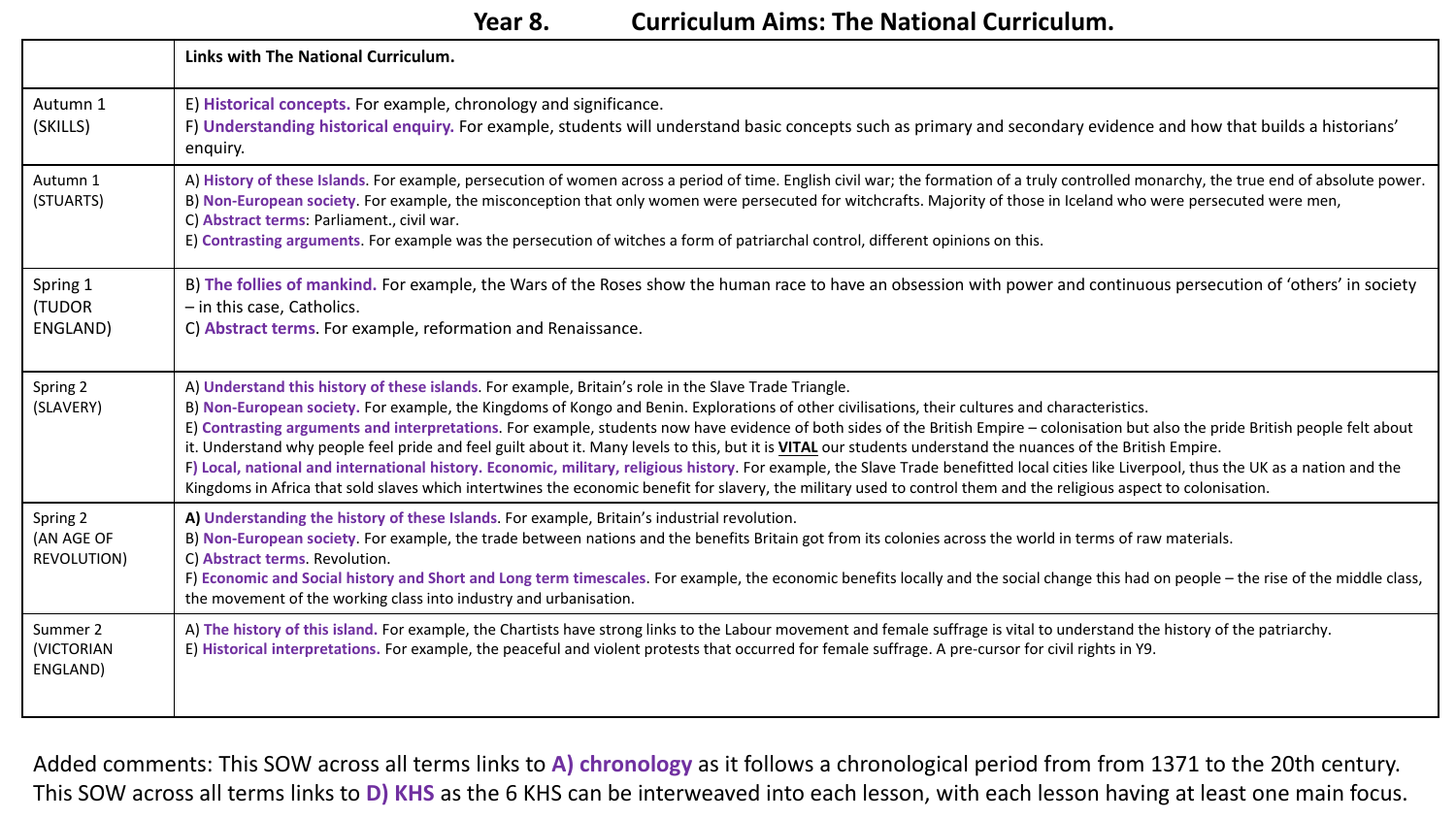## **Year 8. Curriculum Aims: The National Curriculum.**

|                                              | Links with The National Curriculum.                                                                                                                                                                                                                                                                                                                                                                                                                                                                                                                                                                                                                                                                                                                                                                                                                                                                                                                                                    |
|----------------------------------------------|----------------------------------------------------------------------------------------------------------------------------------------------------------------------------------------------------------------------------------------------------------------------------------------------------------------------------------------------------------------------------------------------------------------------------------------------------------------------------------------------------------------------------------------------------------------------------------------------------------------------------------------------------------------------------------------------------------------------------------------------------------------------------------------------------------------------------------------------------------------------------------------------------------------------------------------------------------------------------------------|
| Autumn 1<br>(SKILLS)                         | E) Historical concepts. For example, chronology and significance.<br>F) Understanding historical enquiry. For example, students will understand basic concepts such as primary and secondary evidence and how that builds a historians'<br>enquiry.                                                                                                                                                                                                                                                                                                                                                                                                                                                                                                                                                                                                                                                                                                                                    |
| Autumn 1<br>(STUARTS)                        | A) History of these Islands. For example, persecution of women across a period of time. English civil war; the formation of a truly controlled monarchy, the true end of absolute power.<br>B) Non-European society. For example, the misconception that only women were persecuted for witchcrafts. Majority of those in Iceland who were persecuted were men,<br>C) Abstract terms: Parliament., civil war.<br>E) Contrasting arguments. For example was the persecution of witches a form of patriarchal control, different opinions on this.                                                                                                                                                                                                                                                                                                                                                                                                                                       |
| Spring 1<br>(TUDOR<br>ENGLAND)               | B) The follies of mankind. For example, the Wars of the Roses show the human race to have an obsession with power and continuous persecution of 'others' in society<br>- in this case, Catholics.<br>C) Abstract terms. For example, reformation and Renaissance.                                                                                                                                                                                                                                                                                                                                                                                                                                                                                                                                                                                                                                                                                                                      |
| Spring 2<br>(SLAVERY)                        | A) Understand this history of these islands. For example, Britain's role in the Slave Trade Triangle.<br>B) Non-European society. For example, the Kingdoms of Kongo and Benin. Explorations of other civilisations, their cultures and characteristics.<br>E) Contrasting arguments and interpretations. For example, students now have evidence of both sides of the British Empire - colonisation but also the pride British people felt about<br>it. Understand why people feel pride and feel guilt about it. Many levels to this, but it is VITAL our students understand the nuances of the British Empire.<br>F) Local, national and international history. Economic, military, religious history. For example, the Slave Trade benefitted local cities like Liverpool, thus the UK as a nation and the<br>Kingdoms in Africa that sold slaves which intertwines the economic benefit for slavery, the military used to control them and the religious aspect to colonisation. |
| Spring 2<br>(AN AGE OF<br><b>REVOLUTION)</b> | A) Understanding the history of these Islands. For example, Britain's industrial revolution.<br>B) Non-European society. For example, the trade between nations and the benefits Britain got from its colonies across the world in terms of raw materials.<br>C) Abstract terms. Revolution.<br>F) Economic and Social history and Short and Long term timescales. For example, the economic benefits locally and the social change this had on people – the rise of the middle class,<br>the movement of the working class into industry and urbanisation.                                                                                                                                                                                                                                                                                                                                                                                                                            |
| Summer 2<br>(VICTORIAN<br>ENGLAND)           | A) The history of this island. For example, the Chartists have strong links to the Labour movement and female suffrage is vital to understand the history of the patriarchy.<br>E) Historical interpretations. For example, the peaceful and violent protests that occurred for female suffrage. A pre-cursor for civil rights in Y9.                                                                                                                                                                                                                                                                                                                                                                                                                                                                                                                                                                                                                                                  |

Added comments: This SOW across all terms links to **A) chronology** as it follows a chronological period from from 1371 to the 20th century. This SOW across all terms links to **D) KHS** as the 6 KHS can be interweaved into each lesson, with each lesson having at least one main focus.